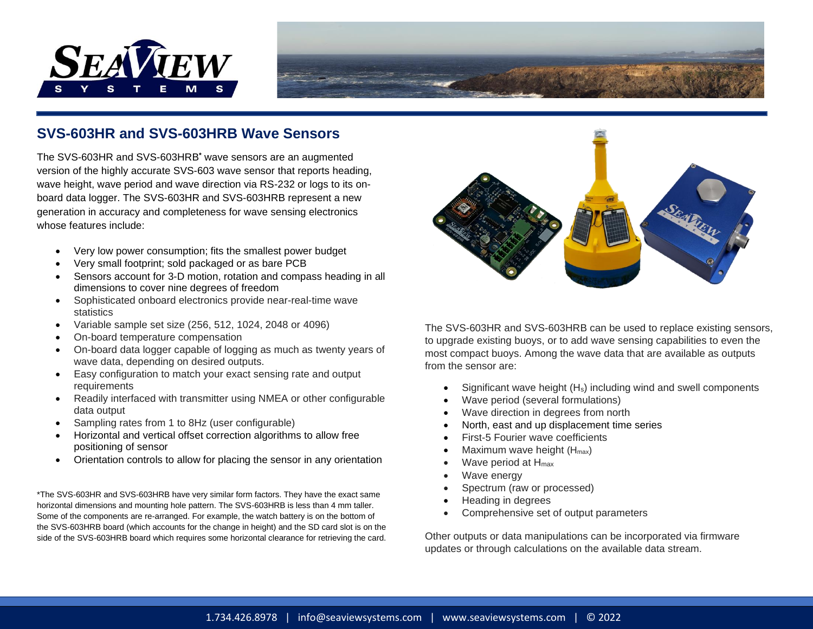



## **SVS-603HR and SVS-603HRB Wave Sensors**

The SVS-603HR and SVS-603HRB**\*** wave sensors are an augmented version of the highly accurate SVS-603 wave sensor that reports heading, wave height, wave period and wave direction via RS-232 or logs to its onboard data logger. The SVS-603HR and SVS-603HRB represent a new generation in accuracy and completeness for wave sensing electronics whose features include:

- Very low power consumption; fits the smallest power budget
- Very small footprint; sold packaged or as bare PCB
- Sensors account for 3-D motion, rotation and compass heading in all dimensions to cover nine degrees of freedom
- Sophisticated onboard electronics provide near-real-time wave statistics
- Variable sample set size (256, 512, 1024, 2048 or 4096)
- On-board temperature compensation
- On-board data logger capable of logging as much as twenty years of wave data, depending on desired outputs.
- Easy configuration to match your exact sensing rate and output requirements
- Readily interfaced with transmitter using NMEA or other configurable data output
- Sampling rates from 1 to 8Hz (user configurable)
- Horizontal and vertical offset correction algorithms to allow free positioning of sensor
- Orientation controls to allow for placing the sensor in any orientation

\*The SVS-603HR and SVS-603HRB have very similar form factors. They have the exact same horizontal dimensions and mounting hole pattern. The SVS-603HRB is less than 4 mm taller. Some of the components are re-arranged. For example, the watch battery is on the bottom of the SVS-603HRB board (which accounts for the change in height) and the SD card slot is on the side of the SVS-603HRB board which requires some horizontal clearance for retrieving the card.



The SVS-603HR and SVS-603HRB can be used to replace existing sensors, to upgrade existing buoys, or to add wave sensing capabilities to even the most compact buoys. Among the wave data that are available as outputs from the sensor are:

- Significant wave height (H<sub>s</sub>) including wind and swell components
- Wave period (several formulations)
- Wave direction in degrees from north
- North, east and up displacement time series
- First-5 Fourier wave coefficients
- Maximum wave height  $(H<sub>max</sub>)$
- Wave period at  $H_{\text{max}}$
- Wave energy
- Spectrum (raw or processed)
- Heading in degrees
- Comprehensive set of output parameters

Other outputs or data manipulations can be incorporated via firmware updates or through calculations on the available data stream.